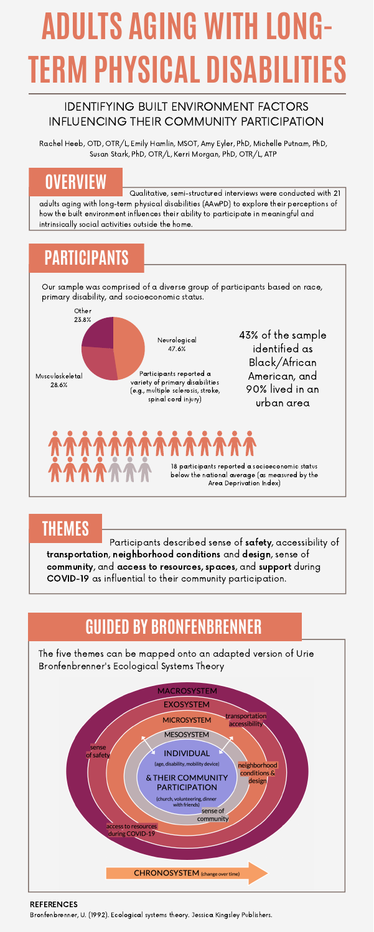#### **OVERVIEW**

# **PARTICIPANTS**

**THEMES**

# **ADULTS AGING WITH LONG-TERM PHYSICAL DISABILITIES**



#### IDENTIFYING BUILT ENVIRONMENT FACTORS INFLUENCING THEIR COMMUNITY PARTICIPATION



Qualitative, semi-structured interviews were conducted with 21 adults aging with long-term physical disabilities (AAwPD) to explore their perceptions of how the built environment influences their ability to participate in meaningful and intrinsically social activities outside the home.

Our sample was comprised of a diverse group of participants based on race, primary disability, and socioeconomic status.

Participants described sense of safety, accessibility of transportation, neighborhood conditions and design, sense of community, and access to resources, spaces, and support during COVID-19 as influential to their community participation.

Bronfenbrenner, U. (1992). Ecological systems theory. Jessica Kingsley Publishers.

#### REFERENCES

Rachel Heeb, OTD, OTR/L, Emily Hamlin, MSOT, Amy Eyler, PhD, Michelle Putnam, PhD, Susan Stark, PhD, OTR/L, Kerri Morgan, PhD, OTR/L, ATP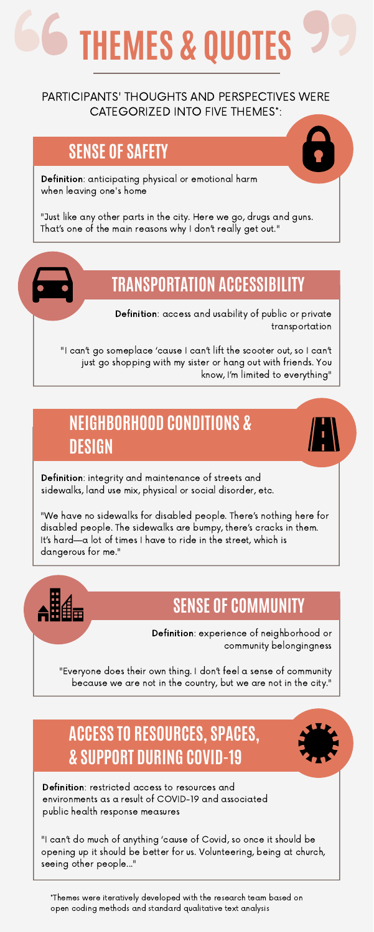## **SENSE OF SAFETY**

# **TRANSPORTATION ACCESSIBILITY**

#### **NEIGHBORHOOD CONDITIONS & DESIGN**

#### **SENSE OF COMMUNITY**

## **ACCESS TO RESOURCES, SPACES, & SUPPORT DURING COVID-19**

Definition: integrity and maintenance of streets and sidewalks, land use mix, physical or social disorder, etc.

"We have no sidewalks for disabled people. There's nothing here for disabled people. The sidewalks are bumpy, there's cracks in them. It's hard—a lot of times I have to ride in the street, which is dangerous for me."

# **THEMES & QUOTES**

"Just like any other parts in the city. Here we go, drugs and guns. That's one of the main reasons why I don't really get out."

Definition: anticipating physical or emotional harm when leaving one's home

"I can't go someplace 'cause I can't lift the scooter out, so I can't just go shopping with my sister or hang out with friends. You know, I'm limited to everything"

Definition: access and usability of public or private transportation

"Everyone does their own thing. I don't feel a sense of community because we are not in the country, but we are not in the city."

Definition: experience of neighborhood or community belongingness

"I can't do much of anything 'cause of Covid, so once it should be opening up it should be better for us. Volunteering, being at church, seeing other people..."

Definition: restricted access to resources and environments as a result of COVID-19 and associated public health response measures

PARTICIPANTS' THOUGHTS AND PERSPECTIVES WERE CATEGORIZED INTO FIVE THEMES\*:

\*Themes were iteratively developed with the research team based on open coding methods and standard qualitative text analysis